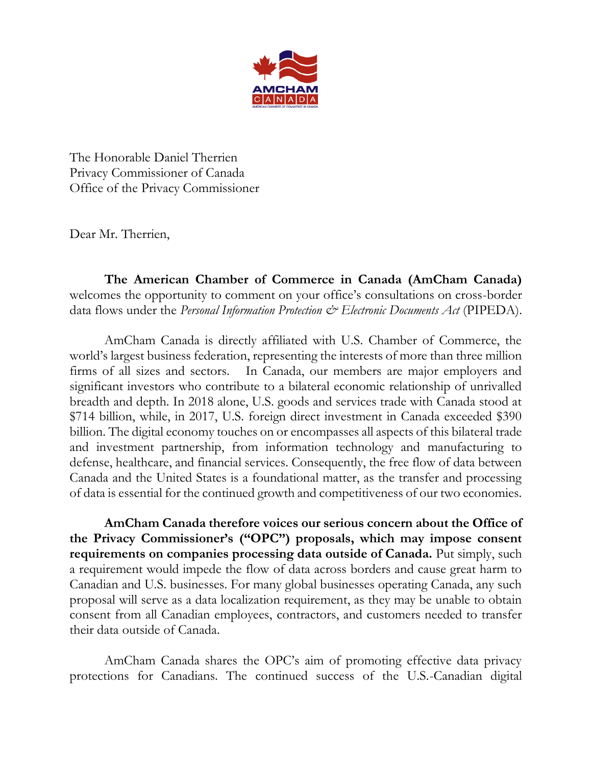

The Honorable Daniel Therrien Privacy Commissioner of Canada Office of the Privacy Commissioner

Dear Mr. Therrien,

**The American Chamber of Commerce in Canada (AmCham Canada)** welcomes the opportunity to comment on your office's consultations on cross-border data flows under the *Personal Information Protection*  $\mathcal{C}^{\infty}$  *Electronic Documents Act* (PIPEDA).

AmCham Canada is directly affiliated with U.S. Chamber of Commerce, the world's largest business federation, representing the interests of more than three million firms of all sizes and sectors. In Canada, our members are major employers and significant investors who contribute to a bilateral economic relationship of unrivalled breadth and depth. In 2018 alone, U.S. goods and services trade with Canada stood at \$714 billion, while, in 2017, U.S. foreign direct investment in Canada exceeded \$390 billion. The digital economy touches on or encompasses all aspects of this bilateral trade and investment partnership, from information technology and manufacturing to defense, healthcare, and financial services. Consequently, the free flow of data between Canada and the United States is a foundational matter, as the transfer and processing of data is essential for the continued growth and competitiveness of our two economies.

**AmCham Canada therefore voices our serious concern about the Office of the Privacy Commissioner's ("OPC") proposals, which may impose consent requirements on companies processing data outside of Canada.** Put simply, such a requirement would impede the flow of data across borders and cause great harm to Canadian and U.S. businesses. For many global businesses operating Canada, any such proposal will serve as a data localization requirement, as they may be unable to obtain consent from all Canadian employees, contractors, and customers needed to transfer their data outside of Canada.

AmCham Canada shares the OPC's aim of promoting effective data privacy protections for Canadians. The continued success of the U.S.-Canadian digital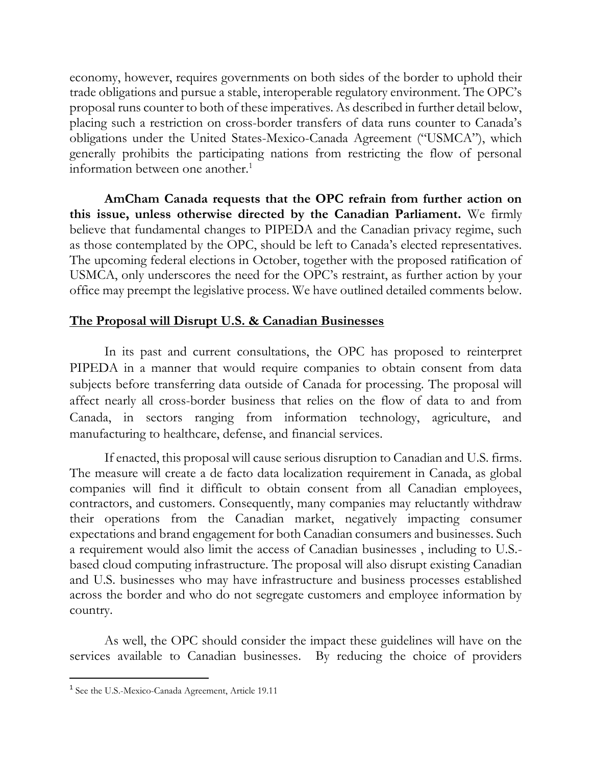economy, however, requires governments on both sides of the border to uphold their trade obligations and pursue a stable, interoperable regulatory environment. The OPC's proposal runs counter to both of these imperatives. As described in further detail below, placing such a restriction on cross-border transfers of data runs counter to Canada's obligations under the United States-Mexico-Canada Agreement ("USMCA"), which generally prohibits the participating nations from restricting the flow of personal information between one another.<sup>1</sup>

**AmCham Canada requests that the OPC refrain from further action on this issue, unless otherwise directed by the Canadian Parliament.** We firmly believe that fundamental changes to PIPEDA and the Canadian privacy regime, such as those contemplated by the OPC, should be left to Canada's elected representatives. The upcoming federal elections in October, together with the proposed ratification of USMCA, only underscores the need for the OPC's restraint, as further action by your office may preempt the legislative process. We have outlined detailed comments below.

### **The Proposal will Disrupt U.S. & Canadian Businesses**

In its past and current consultations, the OPC has proposed to reinterpret PIPEDA in a manner that would require companies to obtain consent from data subjects before transferring data outside of Canada for processing. The proposal will affect nearly all cross-border business that relies on the flow of data to and from Canada, in sectors ranging from information technology, agriculture, and manufacturing to healthcare, defense, and financial services.

If enacted, this proposal will cause serious disruption to Canadian and U.S. firms. The measure will create a de facto data localization requirement in Canada, as global companies will find it difficult to obtain consent from all Canadian employees, contractors, and customers. Consequently, many companies may reluctantly withdraw their operations from the Canadian market, negatively impacting consumer expectations and brand engagement for both Canadian consumers and businesses. Such a requirement would also limit the access of Canadian businesses , including to U.S. based cloud computing infrastructure. The proposal will also disrupt existing Canadian and U.S. businesses who may have infrastructure and business processes established across the border and who do not segregate customers and employee information by country.

As well, the OPC should consider the impact these guidelines will have on the services available to Canadian businesses. By reducing the choice of providers

<sup>&</sup>lt;sup>1</sup> See the U.S.-Mexico-Canada Agreement, Article 19.11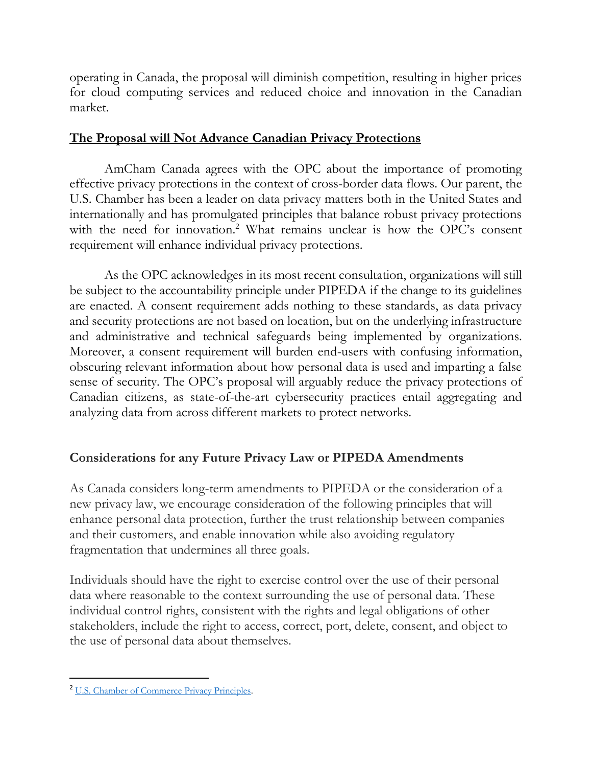operating in Canada, the proposal will diminish competition, resulting in higher prices for cloud computing services and reduced choice and innovation in the Canadian market.

### **The Proposal will Not Advance Canadian Privacy Protections**

AmCham Canada agrees with the OPC about the importance of promoting effective privacy protections in the context of cross-border data flows. Our parent, the U.S. Chamber has been a leader on data privacy matters both in the United States and internationally and has promulgated principles that balance robust privacy protections with the need for innovation.<sup>2</sup> What remains unclear is how the OPC's consent requirement will enhance individual privacy protections.

As the OPC acknowledges in its most recent consultation, organizations will still be subject to the accountability principle under PIPEDA if the change to its guidelines are enacted. A consent requirement adds nothing to these standards, as data privacy and security protections are not based on location, but on the underlying infrastructure and administrative and technical safeguards being implemented by organizations. Moreover, a consent requirement will burden end-users with confusing information, obscuring relevant information about how personal data is used and imparting a false sense of security. The OPC's proposal will arguably reduce the privacy protections of Canadian citizens, as state-of-the-art cybersecurity practices entail aggregating and analyzing data from across different markets to protect networks.

### **Considerations for any Future Privacy Law or PIPEDA Amendments**

As Canada considers long-term amendments to PIPEDA or the consideration of a new privacy law, we encourage consideration of the following principles that will enhance personal data protection, further the trust relationship between companies and their customers, and enable innovation while also avoiding regulatory fragmentation that undermines all three goals.

Individuals should have the right to exercise control over the use of their personal data where reasonable to the context surrounding the use of personal data. These individual control rights, consistent with the rights and legal obligations of other stakeholders, include the right to access, correct, port, delete, consent, and object to the use of personal data about themselves.

<sup>&</sup>lt;sup>2</sup> [U.S. Chamber of Commerce Privacy Principles.](https://www.uschamber.com/issue-brief/us-chamber-privacy-principles)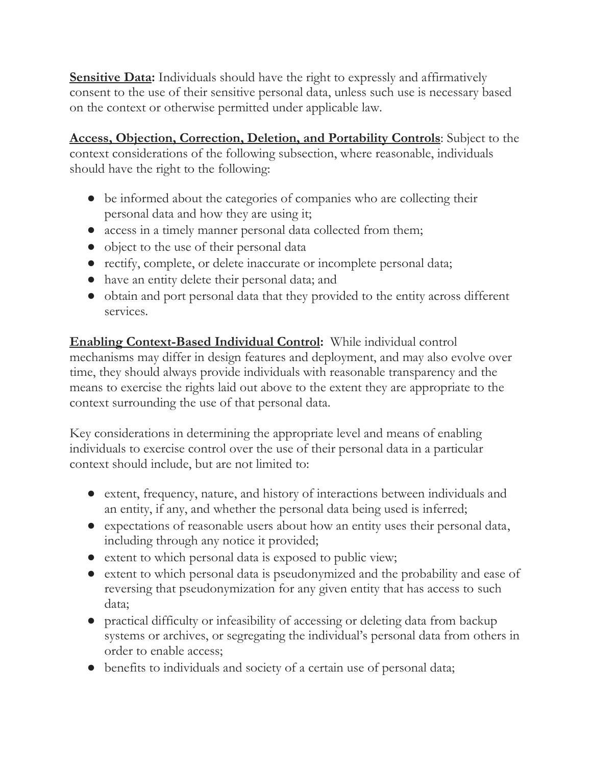**Sensitive Data:** Individuals should have the right to expressly and affirmatively consent to the use of their sensitive personal data, unless such use is necessary based on the context or otherwise permitted under applicable law.

**Access, Objection, Correction, Deletion, and Portability Controls**: Subject to the context considerations of the following subsection, where reasonable, individuals should have the right to the following:

- be informed about the categories of companies who are collecting their personal data and how they are using it;
- access in a timely manner personal data collected from them;
- object to the use of their personal data
- rectify, complete, or delete inaccurate or incomplete personal data;
- have an entity delete their personal data; and
- obtain and port personal data that they provided to the entity across different services.

**Enabling Context-Based Individual Control:** While individual control mechanisms may differ in design features and deployment, and may also evolve over time, they should always provide individuals with reasonable transparency and the means to exercise the rights laid out above to the extent they are appropriate to the context surrounding the use of that personal data.

Key considerations in determining the appropriate level and means of enabling individuals to exercise control over the use of their personal data in a particular context should include, but are not limited to:

- extent, frequency, nature, and history of interactions between individuals and an entity, if any, and whether the personal data being used is inferred;
- expectations of reasonable users about how an entity uses their personal data, including through any notice it provided;
- extent to which personal data is exposed to public view;
- extent to which personal data is pseudonymized and the probability and ease of reversing that pseudonymization for any given entity that has access to such data;
- practical difficulty or infeasibility of accessing or deleting data from backup systems or archives, or segregating the individual's personal data from others in order to enable access;
- benefits to individuals and society of a certain use of personal data;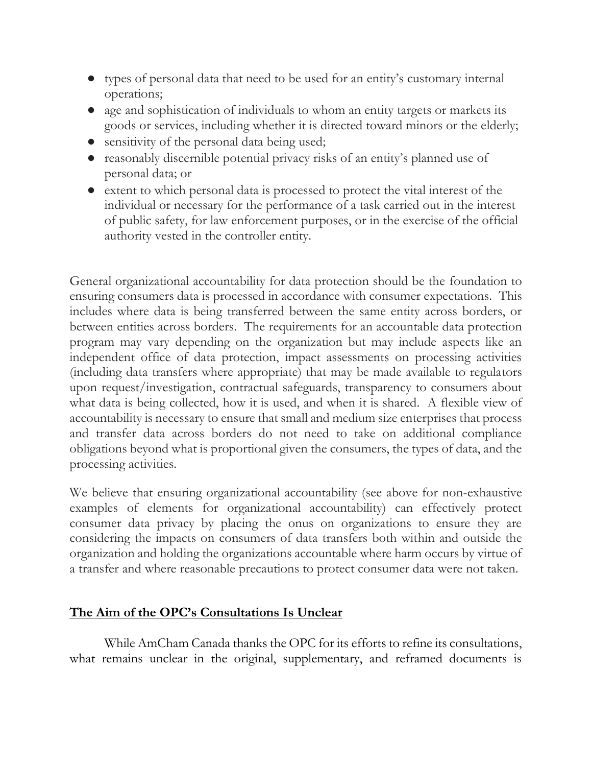- types of personal data that need to be used for an entity's customary internal operations;
- age and sophistication of individuals to whom an entity targets or markets its goods or services, including whether it is directed toward minors or the elderly;
- sensitivity of the personal data being used;
- reasonably discernible potential privacy risks of an entity's planned use of personal data; or
- extent to which personal data is processed to protect the vital interest of the individual or necessary for the performance of a task carried out in the interest of public safety, for law enforcement purposes, or in the exercise of the official authority vested in the controller entity.

General organizational accountability for data protection should be the foundation to ensuring consumers data is processed in accordance with consumer expectations. This includes where data is being transferred between the same entity across borders, or between entities across borders. The requirements for an accountable data protection program may vary depending on the organization but may include aspects like an independent office of data protection, impact assessments on processing activities (including data transfers where appropriate) that may be made available to regulators upon request/investigation, contractual safeguards, transparency to consumers about what data is being collected, how it is used, and when it is shared. A flexible view of accountability is necessary to ensure that small and medium size enterprises that process and transfer data across borders do not need to take on additional compliance obligations beyond what is proportional given the consumers, the types of data, and the processing activities.

We believe that ensuring organizational accountability (see above for non-exhaustive examples of elements for organizational accountability) can effectively protect consumer data privacy by placing the onus on organizations to ensure they are considering the impacts on consumers of data transfers both within and outside the organization and holding the organizations accountable where harm occurs by virtue of a transfer and where reasonable precautions to protect consumer data were not taken.

### **The Aim of the OPC's Consultations Is Unclear**

While AmCham Canada thanks the OPC for its efforts to refine its consultations, what remains unclear in the original, supplementary, and reframed documents is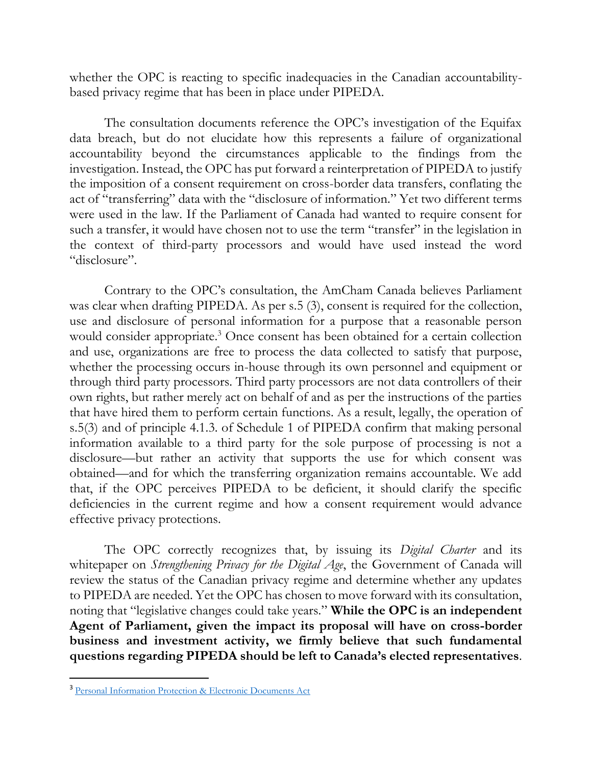whether the OPC is reacting to specific inadequacies in the Canadian accountabilitybased privacy regime that has been in place under PIPEDA.

The consultation documents reference the OPC's investigation of the Equifax data breach, but do not elucidate how this represents a failure of organizational accountability beyond the circumstances applicable to the findings from the investigation. Instead, the OPC has put forward a reinterpretation of PIPEDA to justify the imposition of a consent requirement on cross-border data transfers, conflating the act of "transferring" data with the "disclosure of information." Yet two different terms were used in the law. If the Parliament of Canada had wanted to require consent for such a transfer, it would have chosen not to use the term "transfer" in the legislation in the context of third-party processors and would have used instead the word "disclosure".

Contrary to the OPC's consultation, the AmCham Canada believes Parliament was clear when drafting PIPEDA. As per s.5 (3), consent is required for the collection, use and disclosure of personal information for a purpose that a reasonable person would consider appropriate.<sup>3</sup> Once consent has been obtained for a certain collection and use, organizations are free to process the data collected to satisfy that purpose, whether the processing occurs in-house through its own personnel and equipment or through third party processors. Third party processors are not data controllers of their own rights, but rather merely act on behalf of and as per the instructions of the parties that have hired them to perform certain functions. As a result, legally, the operation of s.5(3) and of principle 4.1.3. of Schedule 1 of PIPEDA confirm that making personal information available to a third party for the sole purpose of processing is not a disclosure—but rather an activity that supports the use for which consent was obtained—and for which the transferring organization remains accountable. We add that, if the OPC perceives PIPEDA to be deficient, it should clarify the specific deficiencies in the current regime and how a consent requirement would advance effective privacy protections.

The OPC correctly recognizes that, by issuing its *Digital Charter* and its whitepaper on *Strengthening Privacy for the Digital Age*, the Government of Canada will review the status of the Canadian privacy regime and determine whether any updates to PIPEDA are needed. Yet the OPC has chosen to move forward with its consultation, noting that "legislative changes could take years." **While the OPC is an independent Agent of Parliament, given the impact its proposal will have on cross-border business and investment activity, we firmly believe that such fundamental questions regarding PIPEDA should be left to Canada's elected representatives**.

<sup>3</sup> [Personal Information Protection & Electronic Documents Act](https://laws-lois.justice.gc.ca/PDF/P-8.6.pdf)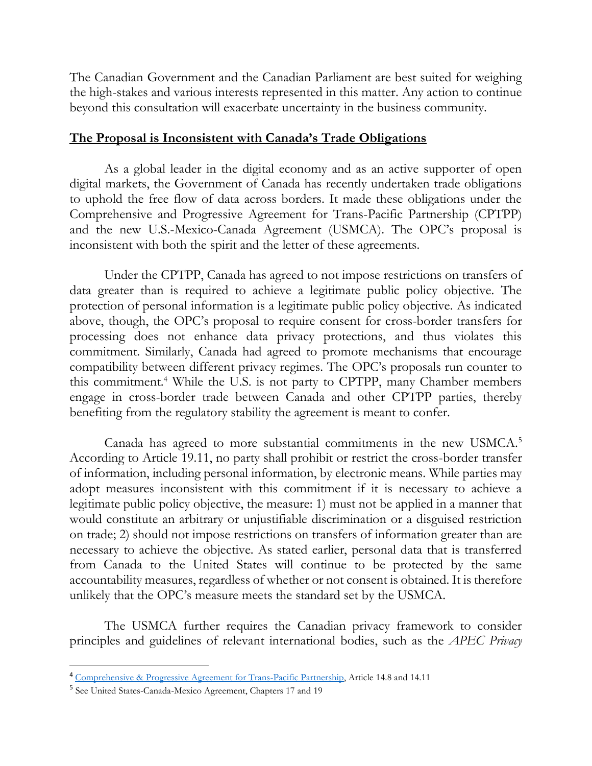The Canadian Government and the Canadian Parliament are best suited for weighing the high-stakes and various interests represented in this matter. Any action to continue beyond this consultation will exacerbate uncertainty in the business community.

#### **The Proposal is Inconsistent with Canada's Trade Obligations**

As a global leader in the digital economy and as an active supporter of open digital markets, the Government of Canada has recently undertaken trade obligations to uphold the free flow of data across borders. It made these obligations under the Comprehensive and Progressive Agreement for Trans-Pacific Partnership (CPTPP) and the new U.S.-Mexico-Canada Agreement (USMCA). The OPC's proposal is inconsistent with both the spirit and the letter of these agreements.

Under the CPTPP, Canada has agreed to not impose restrictions on transfers of data greater than is required to achieve a legitimate public policy objective. The protection of personal information is a legitimate public policy objective. As indicated above, though, the OPC's proposal to require consent for cross-border transfers for processing does not enhance data privacy protections, and thus violates this commitment. Similarly, Canada had agreed to promote mechanisms that encourage compatibility between different privacy regimes. The OPC's proposals run counter to this commitment.<sup>4</sup> While the U.S. is not party to CPTPP, many Chamber members engage in cross-border trade between Canada and other CPTPP parties, thereby benefiting from the regulatory stability the agreement is meant to confer.

Canada has agreed to more substantial commitments in the new USMCA.<sup>5</sup> According to Article 19.11, no party shall prohibit or restrict the cross-border transfer of information, including personal information, by electronic means. While parties may adopt measures inconsistent with this commitment if it is necessary to achieve a legitimate public policy objective, the measure: 1) must not be applied in a manner that would constitute an arbitrary or unjustifiable discrimination or a disguised restriction on trade; 2) should not impose restrictions on transfers of information greater than are necessary to achieve the objective. As stated earlier, personal data that is transferred from Canada to the United States will continue to be protected by the same accountability measures, regardless of whether or not consent is obtained. It is therefore unlikely that the OPC's measure meets the standard set by the USMCA.

The USMCA further requires the Canadian privacy framework to consider principles and guidelines of relevant international bodies, such as the *APEC Privacy* 

<sup>4</sup> [Comprehensive & Progressive Agreement for Trans-Pacific Partnership,](https://www.international.gc.ca/trade-commerce/trade-agreements-accords-commerciaux/agr-acc/tpp-ptp/text-texte/14.aspx?lang=eng) Article 14.8 and 14.11

<sup>&</sup>lt;sup>5</sup> See United States-Canada-Mexico Agreement, Chapters 17 and 19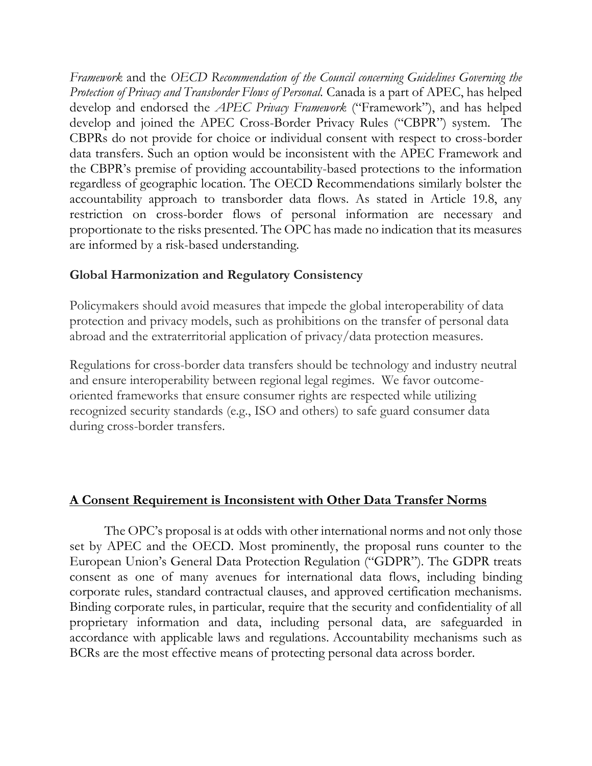*Framework* and the *OECD Recommendation of the Council concerning Guidelines Governing the Protection of Privacy and Transborder Flows of Personal.* Canada is a part of APEC, has helped develop and endorsed the *APEC Privacy Framework* ("Framework"), and has helped develop and joined the APEC Cross-Border Privacy Rules ("CBPR") system. The CBPRs do not provide for choice or individual consent with respect to cross-border data transfers. Such an option would be inconsistent with the APEC Framework and the CBPR's premise of providing accountability-based protections to the information regardless of geographic location. The OECD Recommendations similarly bolster the accountability approach to transborder data flows. As stated in Article 19.8, any restriction on cross-border flows of personal information are necessary and proportionate to the risks presented. The OPC has made no indication that its measures are informed by a risk-based understanding.

# **Global Harmonization and Regulatory Consistency**

Policymakers should avoid measures that impede the global interoperability of data protection and privacy models, such as prohibitions on the transfer of personal data abroad and the extraterritorial application of privacy/data protection measures.

Regulations for cross-border data transfers should be technology and industry neutral and ensure interoperability between regional legal regimes. We favor outcomeoriented frameworks that ensure consumer rights are respected while utilizing recognized security standards (e.g., ISO and others) to safe guard consumer data during cross-border transfers.

# **A Consent Requirement is Inconsistent with Other Data Transfer Norms**

The OPC's proposal is at odds with other international norms and not only those set by APEC and the OECD. Most prominently, the proposal runs counter to the European Union's General Data Protection Regulation ("GDPR"). The GDPR treats consent as one of many avenues for international data flows, including binding corporate rules, standard contractual clauses, and approved certification mechanisms. Binding corporate rules, in particular, require that the security and confidentiality of all proprietary information and data, including personal data, are safeguarded in accordance with applicable laws and regulations. Accountability mechanisms such as BCRs are the most effective means of protecting personal data across border.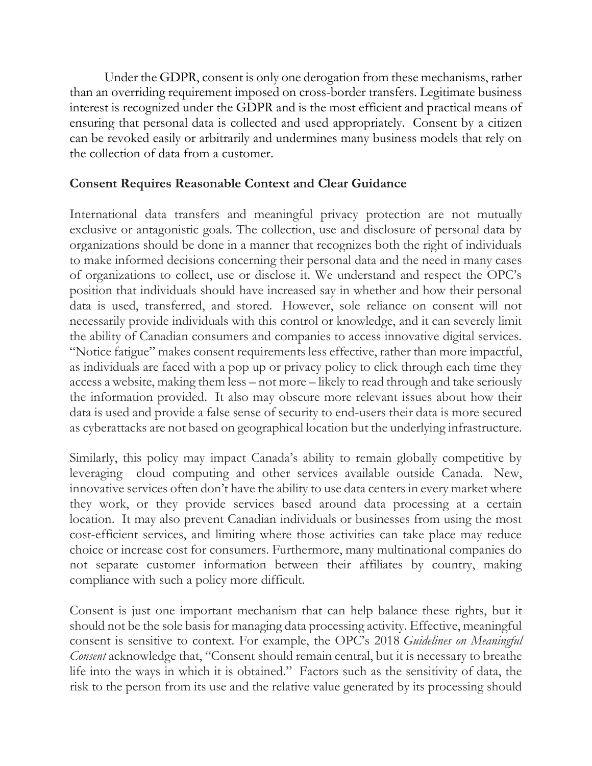Under the GDPR, consent is only one derogation from these mechanisms, rather than an overriding requirement imposed on cross-border transfers. Legitimate business interest is recognized under the GDPR and is the most efficient and practical means of ensuring that personal data is collected and used appropriately. Consent by a citizen can be revoked easily or arbitrarily and undermines many business models that rely on the collection of data from a customer.

### **Consent Requires Reasonable Context and Clear Guidance**

International data transfers and meaningful privacy protection are not mutually exclusive or antagonistic goals. The collection, use and disclosure of personal data by organizations should be done in a manner that recognizes both the right of individuals to make informed decisions concerning their personal data and the need in many cases of organizations to collect, use or disclose it. We understand and respect the OPC's position that individuals should have increased say in whether and how their personal data is used, transferred, and stored. However, sole reliance on consent will not necessarily provide individuals with this control or knowledge, and it can severely limit the ability of Canadian consumers and companies to access innovative digital services. "Notice fatigue" makes consent requirements less effective, rather than more impactful, as individuals are faced with a pop up or privacy policy to click through each time they access a website, making them less – not more – likely to read through and take seriously the information provided. It also may obscure more relevant issues about how their data is used and provide a false sense of security to end-users their data is more secured as cyberattacks are not based on geographical location but the underlying infrastructure.

Similarly, this policy may impact Canada's ability to remain globally competitive by leveraging cloud computing and other services available outside Canada. New, innovative services often don't have the ability to use data centers in every market where they work, or they provide services based around data processing at a certain location. It may also prevent Canadian individuals or businesses from using the most cost-efficient services, and limiting where those activities can take place may reduce choice or increase cost for consumers. Furthermore, many multinational companies do not separate customer information between their affiliates by country, making compliance with such a policy more difficult.

Consent is just one important mechanism that can help balance these rights, but it should not be the sole basis for managing data processing activity. Effective, meaningful consent is sensitive to context. For example, the OPC's 2018 *Guidelines on Meaningful Consent* acknowledge that, "Consent should remain central, but it is necessary to breathe life into the ways in which it is obtained." Factors such as the sensitivity of data, the risk to the person from its use and the relative value generated by its processing should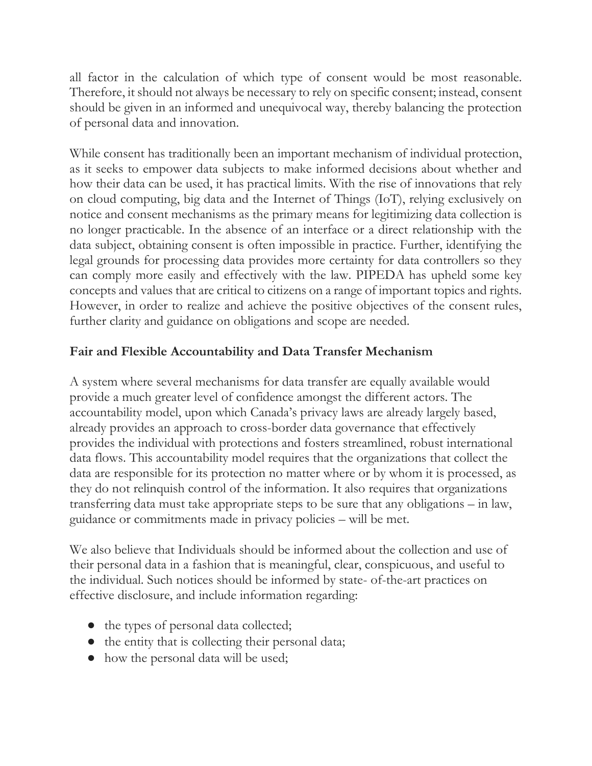all factor in the calculation of which type of consent would be most reasonable. Therefore, it should not always be necessary to rely on specific consent; instead, consent should be given in an informed and unequivocal way, thereby balancing the protection of personal data and innovation.

While consent has traditionally been an important mechanism of individual protection, as it seeks to empower data subjects to make informed decisions about whether and how their data can be used, it has practical limits. With the rise of innovations that rely on cloud computing, big data and the Internet of Things (IoT), relying exclusively on notice and consent mechanisms as the primary means for legitimizing data collection is no longer practicable. In the absence of an interface or a direct relationship with the data subject, obtaining consent is often impossible in practice. Further, identifying the legal grounds for processing data provides more certainty for data controllers so they can comply more easily and effectively with the law. PIPEDA has upheld some key concepts and values that are critical to citizens on a range of important topics and rights. However, in order to realize and achieve the positive objectives of the consent rules, further clarity and guidance on obligations and scope are needed.

# **Fair and Flexible Accountability and Data Transfer Mechanism**

A system where several mechanisms for data transfer are equally available would provide a much greater level of confidence amongst the different actors. The accountability model, upon which Canada's privacy laws are already largely based, already provides an approach to cross-border data governance that effectively provides the individual with protections and fosters streamlined, robust international data flows. This accountability model requires that the organizations that collect the data are responsible for its protection no matter where or by whom it is processed, as they do not relinquish control of the information. It also requires that organizations transferring data must take appropriate steps to be sure that any obligations – in law, guidance or commitments made in privacy policies – will be met.

We also believe that Individuals should be informed about the collection and use of their personal data in a fashion that is meaningful, clear, conspicuous, and useful to the individual. Such notices should be informed by state- of-the-art practices on effective disclosure, and include information regarding:

- the types of personal data collected;
- the entity that is collecting their personal data;
- how the personal data will be used;